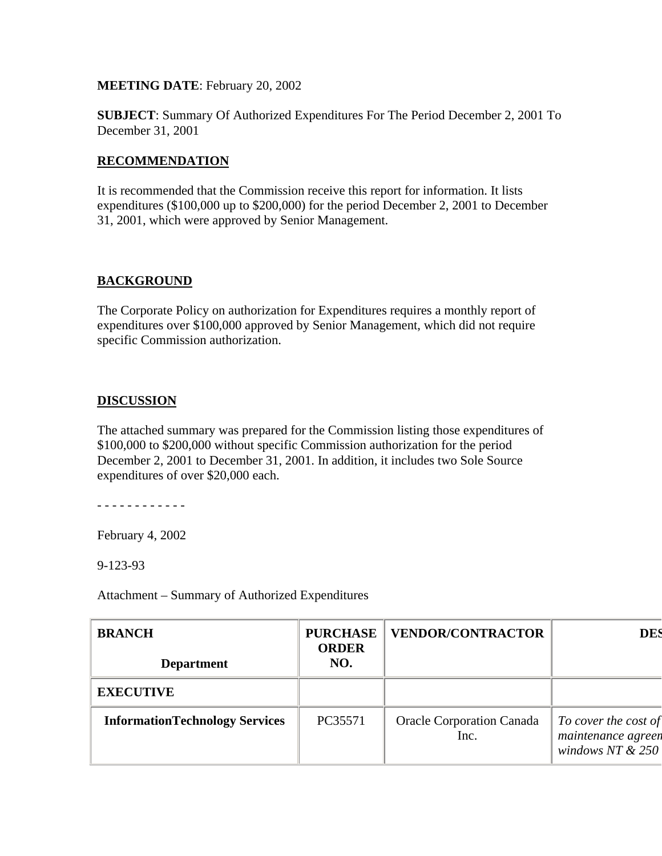**MEETING DATE**: February 20, 2002

**SUBJECT**: Summary Of Authorized Expenditures For The Period December 2, 2001 To December 31, 2001

## **RECOMMENDATION**

It is recommended that the Commission receive this report for information. It lists expenditures (\$100,000 up to \$200,000) for the period December 2, 2001 to December 31, 2001, which were approved by Senior Management.

## **BACKGROUND**

The Corporate Policy on authorization for Expenditures requires a monthly report of expenditures over \$100,000 approved by Senior Management, which did not require specific Commission authorization.

## **DISCUSSION**

The attached summary was prepared for the Commission listing those expenditures of \$100,000 to \$200,000 without specific Commission authorization for the period December 2, 2001 to December 31, 2001. In addition, it includes two Sole Source expenditures of over \$20,000 each.

- - - - - - - - - - - -

February 4, 2002

9-123-93

Attachment – Summary of Authorized Expenditures

| <b>BRANCH</b><br><b>Department</b>    | <b>PURCHASE</b><br><b>ORDER</b><br>NO. | <b>VENDOR/CONTRACTOR</b>                 | <b>DES</b>                                                       |
|---------------------------------------|----------------------------------------|------------------------------------------|------------------------------------------------------------------|
| <b>EXECUTIVE</b>                      |                                        |                                          |                                                                  |
| <b>InformationTechnology Services</b> | PC35571                                | <b>Oracle Corporation Canada</b><br>Inc. | To cover the cost of<br>maintenance agreen<br>windows NT $& 250$ |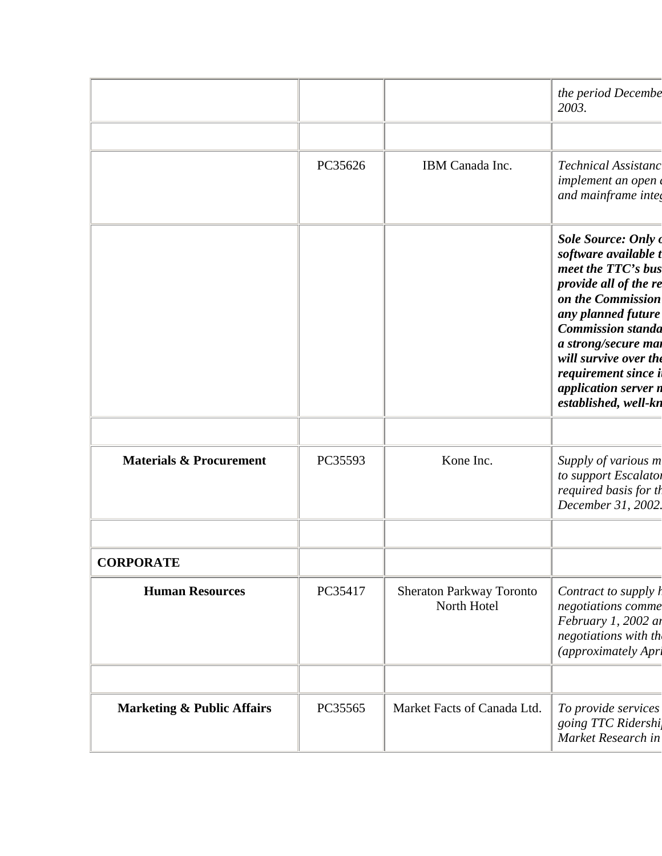|                                       |         |                                         | the period Decembe<br>2003.                                                                                                                                                                                                                                                               |
|---------------------------------------|---------|-----------------------------------------|-------------------------------------------------------------------------------------------------------------------------------------------------------------------------------------------------------------------------------------------------------------------------------------------|
|                                       |         |                                         |                                                                                                                                                                                                                                                                                           |
|                                       | PC35626 | IBM Canada Inc.                         | Technical Assistanc<br>implement an open<br>and mainframe integ                                                                                                                                                                                                                           |
|                                       |         |                                         | Sole Source: Only of<br>software available t<br>meet the TTC's bus<br>provide all of the re<br>on the Commission<br>any planned future<br><b>Commission standa</b><br>a strong/secure mai<br>will survive over the<br>requirement since i<br>application server n<br>established, well-kn |
|                                       |         |                                         |                                                                                                                                                                                                                                                                                           |
| <b>Materials &amp; Procurement</b>    | PC35593 | Kone Inc.                               | Supply of various m<br>to support Escalator<br>required basis for th<br>December 31, 2002.                                                                                                                                                                                                |
| <b>CORPORATE</b>                      |         |                                         |                                                                                                                                                                                                                                                                                           |
| <b>Human Resources</b>                | PC35417 | Sheraton Parkway Toronto<br>North Hotel | Contract to supply <i>l</i><br>negotiations comme<br>February 1, 2002 at<br>negotiations with th<br>(approximately Apri                                                                                                                                                                   |
|                                       |         |                                         |                                                                                                                                                                                                                                                                                           |
| <b>Marketing &amp; Public Affairs</b> | PC35565 | Market Facts of Canada Ltd.             | To provide services<br>going TTC Ridershi<br>Market Research in                                                                                                                                                                                                                           |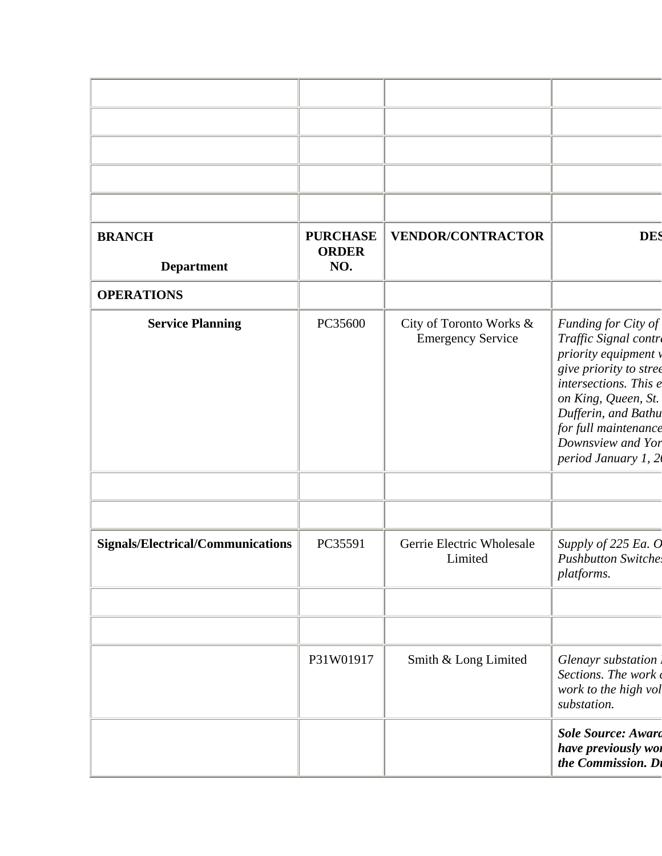| <b>BRANCH</b><br><b>Department</b>       | <b>PURCHASE</b><br><b>ORDER</b><br>NO. | <b>VENDOR/CONTRACTOR</b>                            | <b>DES</b>                                                                                                                                                                                                                                |
|------------------------------------------|----------------------------------------|-----------------------------------------------------|-------------------------------------------------------------------------------------------------------------------------------------------------------------------------------------------------------------------------------------------|
| <b>OPERATIONS</b>                        |                                        |                                                     |                                                                                                                                                                                                                                           |
| <b>Service Planning</b>                  | PC35600                                | City of Toronto Works &<br><b>Emergency Service</b> | Funding for City of<br>Traffic Signal contre<br>priority equipment v<br>give priority to stree<br>intersections. This e<br>on King, Queen, St.<br>Dufferin, and Bathu<br>for full maintenance<br>Downsview and Yor<br>period January 1, 2 |
|                                          |                                        |                                                     |                                                                                                                                                                                                                                           |
| <b>Signals/Electrical/Communications</b> | PC35591                                | Gerrie Electric Wholesale<br>Limited                | Supply of 225 Ea. O<br><b>Pushbutton Switche.</b><br>platforms.                                                                                                                                                                           |
|                                          | P31W01917                              | Smith & Long Limited                                | Glenayr substation<br>Sections. The work<br>work to the high vol<br>substation.                                                                                                                                                           |
|                                          |                                        |                                                     | <b>Sole Source: Award</b><br>have previously wor<br>the Commission. Di                                                                                                                                                                    |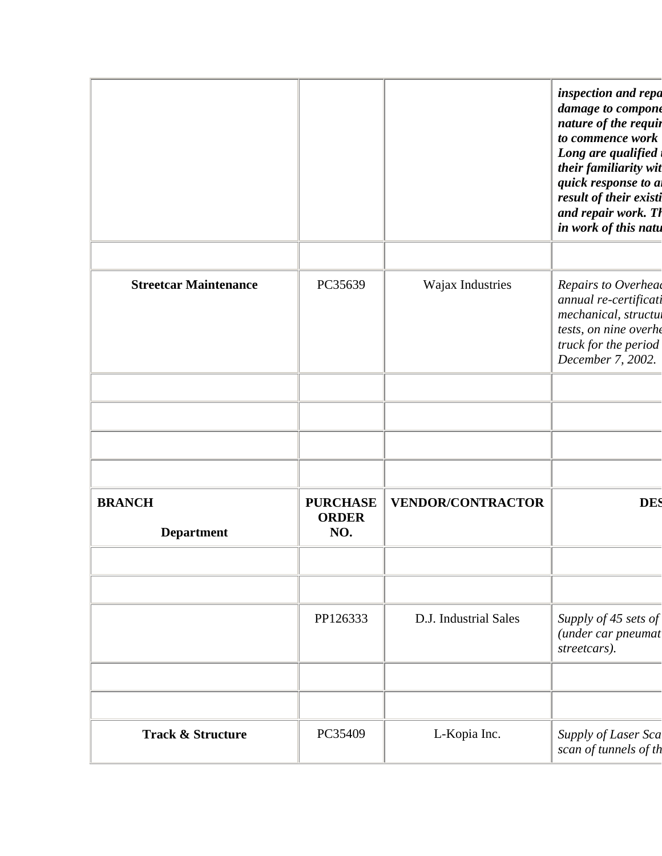|                                    |                                        |                          | inspection and repa<br>damage to compone<br>nature of the requir<br>to commence work<br>Long are qualified<br>their familiarity wit<br>quick response to a<br>result of their existi<br>and repair work. Th<br>in work of this natu |
|------------------------------------|----------------------------------------|--------------------------|-------------------------------------------------------------------------------------------------------------------------------------------------------------------------------------------------------------------------------------|
| <b>Streetcar Maintenance</b>       | PC35639                                | Wajax Industries         | Repairs to Overhead<br>annual re-certificati<br>mechanical, structul<br>tests, on nine overhe<br>truck for the period<br>December 7, 2002.                                                                                          |
|                                    |                                        |                          |                                                                                                                                                                                                                                     |
| <b>BRANCH</b><br><b>Department</b> | <b>PURCHASE</b><br><b>ORDER</b><br>NO. | <b>VENDOR/CONTRACTOR</b> | <b>DES</b>                                                                                                                                                                                                                          |
|                                    | PP126333                               | D.J. Industrial Sales    | Supply of 45 sets of<br>(under car pneumat<br>streetcars).                                                                                                                                                                          |
| <b>Track &amp; Structure</b>       | PC35409                                | L-Kopia Inc.             | Supply of Laser Sca<br>scan of tunnels of th                                                                                                                                                                                        |